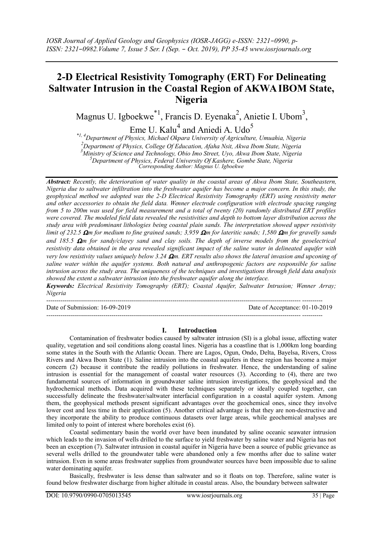# **2-D Electrical Resistivity Tomography (ERT) For Delineating Saltwater Intrusion in the Coastal Region of AKWA IBOM State, Nigeria**

Magnus U. Igboekwe<sup>\*1</sup>, Francis D. Eyenaka<sup>2</sup>, Anietie I. Ubom<sup>3</sup>,

Eme U. Kalu $^4$  and Aniedi A. Udo<sup>5</sup>

*\*1, 4Department of Physics, Michael Okpara University of Agriculture, Umuahia, Nigeria Department of Physics, College Of Education, Afaha Nsit, Akwa Ibom State, Nigeria Ministry of Science and Technology, Obio Imo Street, Uyo, Akwa Ibom State, Nigeria Department of Physics, Federal University Of Kashere, Gombe State, Nigeria*

*Corresponding Author: Magnus U. Igboekwe*

*Abstract: Recently, the deterioration of water quality in the coastal areas of Akwa Ibom State, Southeastern, Nigeria due to saltwater infiltration into the freshwater aquifer has become a major concern. In this study, the geophysical method we adopted was the 2-D Electrical Resistivity Tomography (ERT) using resistivity meter and other accessories to obtain the field data. Wenner electrode configuration with electrode spacing ranging from 5 to 200m was used for field measurement and a total of twenty (20) randomly distributed ERT profiles were covered. The modeled field data revealed the resistivities and depth to bottom layer distribution across the study area with predominant lithologies being coastal plain sands. The interpretation showed upper resistivity limit of 232.5 m for medium to fine grained sands; 3,959 m for lateritic sands; 1,580 m for gravelly sands and 185.5 m for sandy/clayey sand and clay soils. The depth of inverse models from the geoelectrical resistivity data obtained in the area revealed significant impact of the saline water in delineated aquifer with very low resistivity values uniquely below 3.24 m. ERT results also shows the lateral invasion and upconing of saline water within the aquifer systems. Both natural and anthropogenic factors are responsible for saline intrusion across the study area. The uniqueness of the techniques and investigations through field data analysis showed the extent a saltwater intrusion into the freshwater aquifer along the interface.*

*Keywords: Electrical Resistivity Tomography (ERT); Coastal Aquifer, Saltwater Intrusion; Wenner Array; Nigeria*

----------------------------------------------------------------------------------------------------------------------------- ----------

Date of Submission: 16-09-2019 Date of Acceptance: 01-10-2019

## **I. Introduction**

----------------------------------------------------------------------------------------------------------------------------- ----------

Contamination of freshwater bodies caused by saltwater intrusion (SI) is a global issue, affecting water quality, vegetation and soil conditions along coastal lines. Nigeria has a coastline that is 1,000km long boarding some states in the South with the Atlantic Ocean. There are Lagos, Ogun, Ondo, Delta, Bayelsa, Rivers, Cross Rivers and Akwa Ibom State (1). Saline intrusion into the coastal aquifers in these region has become a major concern (2) because it contribute the readily pollutions in freshwater. Hence, the understanding of saline intrusion is essential for the management of coastal water resources (3). According to (4), there are two fundamental sources of information in groundwater saline intrusion investigations, the geophysical and the hydrochemical methods. Data acquired with these techniques separately or ideally coupled together, can successfully delineate the freshwater/saltwater interfacial configuration in a coastal aquifer system. Among them, the geophysical methods present significant advantages over the geochemical ones, since they involve lower cost and less time in their application (5). Another critical advantage is that they are non-destructive and they incorporate the ability to produce continuous datasets over large areas, while geochemical analyses are limited only to point of interest where boreholes exist (6).

Coastal sedimentary basin the world over have been inundated by saline oceanic seawater intrusion which leads to the invasion of wells drilled to the surface to yield freshwater by saline water and Nigeria has not been an exception (7). Saltwater intrusion in coastal aquifer in Nigeria have been a source of public grievance as several wells drilled to the groundwater table were abandoned only a few months after due to saline water intrusion. Even in some areas freshwater supplies from groundwater sources have been impossible due to saline water dominating aquifer.

Basically, freshwater is less dense than saltwater and so it floats on top. Therefore, saline water is found below freshwater discharge from higher altitude in coastal areas. Also, the boundary between saltwater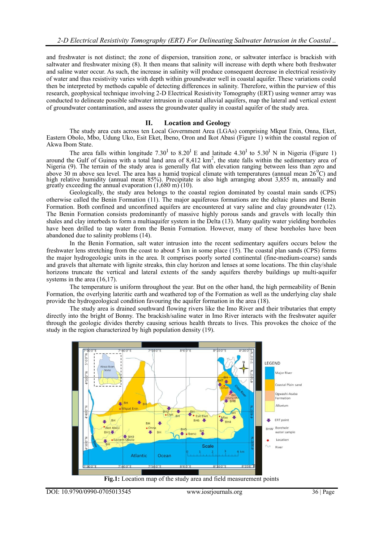and freshwater is not distinct; the zone of dispersion, transition zone, or saltwater interface is brackish with saltwater and freshwater mixing (8). It then means that salinity will increase with depth where both freshwater and saline water occur. As such, the increase in salinity will produce consequent decrease in electrical resistivity of water and thus resistivity varies with depth within groundwater well in coastal aquifer. These variations could then be interpreted by methods capable of detecting differences in salinity. Therefore, within the purview of this research, geophysical technique involving 2-D Electrical Resistivity Tomography (ERT) using wenner array was conducted to delineate possible saltwater intrusion in coastal alluvial aquifers, map the lateral and vertical extent of groundwater contamination, and assess the groundwater quality in coastal aquifer of the study area.

#### **II. Location and Geology**

The study area cuts across ten Local Government Area (LGAs) comprising Mkpat Enin, Onna, Eket, Eastern Obolo, Mbo, Udung Uko, Esit Eket, Ibeno, Oron and Ikot Abasi (Figure 1) within the coastal region of Akwa Ibom State.

The area falls within longitude 7.30<sup>I</sup> to 8.20<sup>I</sup> E and latitude 4.30<sup>I</sup> to 5.30<sup>I</sup> N in Nigeria (Figure 1) around the Gulf of Guinea with a total land area of  $8,412 \text{ km}^2$ , the state falls within the sedimentary area of Nigeria (9). The terrain of the study area is generally flat with elevation ranging between less than zero and above 30 m above sea level. The area has a humid tropical climate with temperatures (annual mean  $26^{\circ}$ C) and high relative humidity (annual mean 85%). Precipitate is also high arranging about 3,855 m, annually and greatly exceeding the annual evaporation  $(1,680 \text{ m})^2(10)$ .

Geologically, the study area belongs to the coastal region dominated by coastal main sands (CPS) otherwise called the Benin Formation (11). The major aquiferous formations are the deltaic planes and Benin Formation. Both confined and unconfined aquifers are encountered at vary saline and clay groundwater (12). The Benin Formation consists predominantly of massive highly porous sands and gravels with locally thin shales and clay interbeds to form a multiaquifer system in the Delta (13). Many quality water yielding boreholes have been drilled to tap water from the Benin Formation. However, many of these boreholes have been abandoned due to salinity problems (14).

In the Benin Formation, salt water intrusion into the recent sedimentary aquifers occurs below the freshwater lens stretching from the coast to about 5 km in some place (15). The coastal plan sands (CPS) forms the major hydrogeologic units in the area. It comprises poorly sorted continental (fine-medium-coarse) sands and gravels that alternate with lignite streaks, thin clay horizon and lenses at some locations. The thin clay/shale horizons truncate the vertical and lateral extents of the sandy aquifers thereby buildings up multi-aquifer systems in the area  $(16,17)$ .

The temperature is uniform throughout the year. But on the other hand, the high permeability of Benin Formation, the overlying lateritic earth and weathered top of the Formation as well as the underlying clay shale provide the hydrogeological condition favouring the aquifer formation in the area (18).

The study area is drained southward flowing rivers like the Imo River and their tributaries that empty directly into the bright of Bonny. The brackish/saline water in Imo River interacts with the freshwater aquifer through the geologic divides thereby causing serious health threats to lives. This provokes the choice of the study in the region characterized by high population density (19).



**Fig.1:** Location map of the study area and field measurement points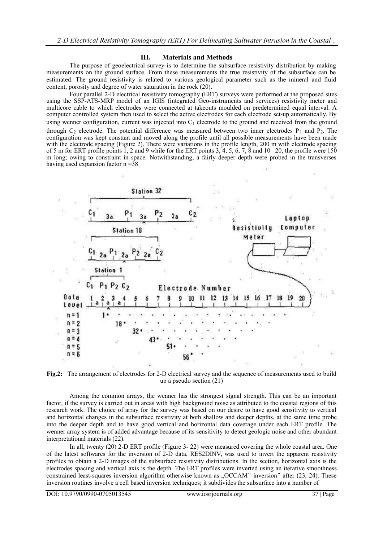#### **III. Materials and Methods**

The purpose of geoelectrical survey is to determine the subsurface resistivity distribution by making measurements on the ground surface. From these measurements the true resistivity of the subsurface can be estimated. The ground resistivity is related to various geological parameter such as the mineral and fluid content, porosity and degree of water saturation in the rock (20).

Four parallel 2-D electrical resistivity tomography (ERT) surveys were performed at the proposed sites using the SSP-ATS-MRP model of an IGIS (integrated Geo-instruments and services) resistivity meter and multicore cable to which electrodes were connected at takeouts moulded on predetermined equal interval. A computer controlled system then used to select the active electrodes for each electrode set-up automatically. By using wenner configuration, current was injected into  $C_1$  electrode to the ground and received from the ground through  $C_2$  electrode. The potential difference was measured between two inner electrodes  $P_1$  and  $P_2$ . The configuration was kept constant and moved along the profile until all possible measurements have been made with the electrode spacing (Figure 2). There were variations in the profile length, 200 m with electrode spacing of 5 m for ERT profile points  $\overline{1}$ , 2 and 9 while for the ERT points 3, 4, 5, 6, 7,  $\overline{8}$  and 10–20, the profile were 150 m long; owing to constraint in space. Notwithstanding, a fairly deeper depth were probed in the transverses having used expansion factor  $n = 38$ 



**Fig.2:** The arrangement of electrodes for 2-D electrical survey and the sequence of measurements used to build up a pseudo section (21)

Among the common arrays, the wenner has the strongest signal strength. This can be an important factor, if the survey is carried out in areas with high background noise as attributed to the coastal regions of this research work. The choice of array for the survey was based on our desire to have good sensitivity to vertical and horizontal changes in the subsurface resistivity at both shallow and deeper depths, at the same time probe into the deeper depth and to have good vertical and horizontal data coverage under each ERT profile. The wenner array system is of added advantage because of its sensitivity to detect geologic noise and other abundant interpretational materials (22).

In all, twenty (20) 2-D ERT profile (Figure 3- 22) were measured covering the whole coastal area. One of the latest softwares for the inversion of 2-D data, RES2DINV, was used to invert the apparent resistivity profiles to obtain a 2-D images of the subsurface resistivity distributions. In the section, horizontal axis is the electrodes spacing and vertical axis is the depth. The ERT profiles were inverted using an iterative smoothness constrained least-squares inversion algorithm otherwise known as ...OCCAM inversion after (23, 24). These inversion routines involve a cell based inversion techniques; it subdivides the subsurface into a number of

DOI: 10.9790/0990-0705013545 www.iosrjournals.org 37 | Page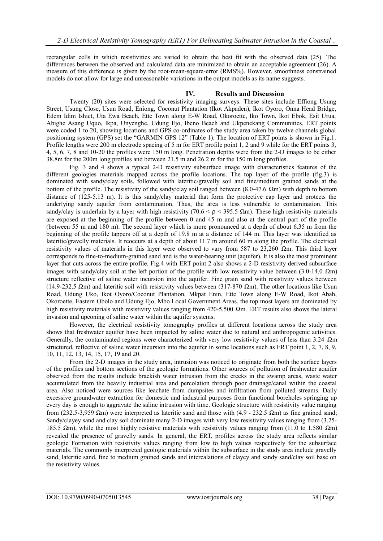rectangular cells in which resistivities are varied to obtain the best fit with the observed data (25). The differences between the observed and calculated data are minimized to obtain an acceptable agreement (26). A measure of this difference is given by the root-mean-square-error (RMS%). However, smoothness constrained models do not allow for large and unreasonable variations in the output models as its name suggests.

# **IV. Results and Discussion**

Twenty (20) sites were selected for resistivity imaging surveys. These sites include Effiong Usung Street, Usung Close, Usun Road, Eniong, Coconut Plantation (Ikot Akpaden), Ikot Oyoro, Onna Head Bridge, Edem Idim Ishiet, Uta Ewa Beach, Ette Town along E-W Road, Okoroette, Iko Town, Ikot Ebok, Esit Urua, Abighe Asang Uquo, Ikpa, Unyenghe, Udung Ejo, Ibeno Beach and Ukpenekang Communities. ERT points were coded 1 to 20, showing locations and GPS co-ordinates of the study area taken by twelve channels global positioning system (GPS) set the "GARMIN GPS 12" (Table 1). The location of ERT points is shown in Fig.1. Profile lengths were 200 m electrode spacing of 5 m for ERT profile point 1, 2 and 9 while for the ERT points 3, 4, 5, 6, 7, 8 and 10-20 the profiles were 150 m long. Penetration depths were from the 2-D images to be either 38.8m for the 200m long profiles and between 21.5 m and 26.2 m for the 150 m long profiles.

Fig. 3 and 4 shows a typical 2-D resistivity subsurface image with characteristics features of the different geologies materials mapped across the profile locations. The top layer of the profile (fig.3) is dominated with sandy/clay soils, followed with lateritic/gravelly soil and fine/medium grained sands at the bottom of the profile. The resistivity of the sandy/clay soil ranged between  $(8.0-47.6 \Omega m)$  with depth to bottom distance of (125-5.13 m). It is this sandy/clay material that form the protective cap layer and protects the underlying sandy aquifer from contamination. Thus, the area is less vulnerable to contamination. This sandy/clay is underlain by a layer with high resistivity (70.6  $\leq \rho \leq 395.5$  Ωm). These high resistivity materials are exposed at the beginning of the profile between 0 and 45 m and also at the central part of the profile (between 55 m and 180 m). The second layer which is more pronounced at a depth of about 6.35 m from the beginning of the profile tappers off at a depth of 19.8 m at a distance of 144 m. This layer was identified as lateritic/gravelly materials. It reoccurs at a depth of about 11.7 m around 60 m along the profile. The electrical resistivity values of materials in this layer were observed to vary from 587 to 23,260  $\Omega$ m. This third layer corresponds to fine-to-medium-grained sand and is the water-bearing unit (aquifer). It is also the most prominent layer that cuts across the entire profile. Fig.4 with ERT point 2 also shows a 2-D resistivity derived subsurface images with sandy/clay soil at the left portion of the profile with low resistivity value between (3.0-14.0  $\Omega$ m) structure reflective of saline water incursion into the aquifer. Fine grain sand with resistivity values between (14.9-232.5  $\Omega$ m) and lateritic soil with resistivity values between (317-870  $\Omega$ m). The other locations like Usun Road, Udung Uko, Ikot Oyoro/Coconut Plantation, Mkpat Enin, Ette Town along E-W Road, Ikot Abah, Okoroette, Eastern Obolo and Udung Ejo, Mbo Local Government Areas, the top most layers are dominated by high resistivity materials with resistivity values ranging from  $420-5,500$  Qm. ERT results also shows the lateral invasion and upconing of saline water within the aquifer systems.

However, the electrical resistivity tomography profiles at different locations across the study area shows that freshwater aquifer have been impacted by saline water due to natural and anthropogenic activities. Generally, the contaminated regions were characterized with very low resistivity values of less than 3.24  $\Omega$ m structured, reflective of saline water incursion into the aquifer in some locations such as ERT point 1, 2, 7, 8, 9, 10, 11, 12, 13, 14, 15, 17, 19 and 20.

From the 2-D images in the study area, intrusion was noticed to originate from both the surface layers of the profiles and bottom sections of the geologic formations. Other sources of pollution of freshwater aquifer observed from the results include brackish water intrusion from the creeks in the swamp areas, waste water accumulated from the heavily industrial area and percolation through poor drainage/canal within the coastal area. Also noticed were sources like leachate from dumpsites and infiltration from polluted streams. Daily excessive groundwater extraction for domestic and industrial purposes from functional boreholes springing up every day is enough to aggravate the saline intrusion with time. Geologic structure with resistivity value ranging from (232.5-3,959  $\Omega$ m) were interpreted as lateritic sand and those with (4.9 - 232.5  $\Omega$ m) as fine grained sand; Sandy/clayey sand and clay soil dominate many 2-D images with very low resistivity values ranging from (3.25- 185.5  $\Omega$ m), while the most highly resistive materials with resistivity values ranging from (11.0 to 1,580  $\Omega$ m) revealed the presence of gravelly sands. In general, the ERT, profiles across the study area reflects similar geologic Formation with resistivity values ranging from low to high values respectively for the subsurface materials. The commonly interpreted geologic materials within the subsurface in the study area include gravelly sand, lateritic sand, fine to medium grained sands and intercalations of clayey and sandy sand/clay soil base on the resistivity values.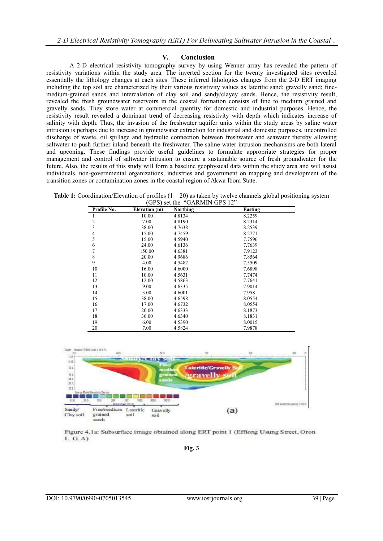### **V. Conclusion**

A 2-D electrical resistivity tomography survey by using Wenner array has revealed the pattern of resistivity variations within the study area. The inverted section for the twenty investigated sites revealed essentially the lithology changes at each sites. These inferred lithologies changes from the 2-D ERT imaging including the top soil are characterized by their various resistivity values as lateritic sand; gravelly sand; finemedium-grained sands and intercalation of clay soil and sandy/clayey sands. Hence, the resistivity result, revealed the fresh groundwater reservoirs in the coastal formation consists of fine to medium grained and gravelly sands. They store water at commercial quantity for domestic and industrial purposes. Hence, the resistivity result revealed a dominant trend of decreasing resistivity with depth which indicates increase of salinity with depth. Thus, the invasion of the freshwater aquifer units within the study areas by saline water intrusion is perhaps due to increase in groundwater extraction for industrial and domestic purposes, uncontrolled discharge of waste, oil spillage and hydraulic connection between freshwater and seawater thereby allowing saltwater to push further inland beneath the freshwater. The saline water intrusion mechanisms are both lateral and upconing. These findings provide useful guidelines to formulate appropriate strategies for proper management and control of saltwater intrusion to ensure a sustainable source of fresh groundwater for the future. Also, the results of this study will form a baseline geophysical data within the study area and will assist individuals, non-governmental organizations, industries and government on mapping and development of the transition zones or contamination zones in the coastal region of Akwa Ibom State.

**Table 1:** Coordination/Elevation of profiles  $(1 - 20)$  as taken by twelve channels global positioning system  $GPS$ ) set the  $\sqrt[G]{GARMIN}$   $GPS$  12"

| Profile No.    | Elevation (m) | Northing | <b>Easting</b> |
|----------------|---------------|----------|----------------|
| 1              | 10.00         | 4.8134   | 8.2259         |
| $\frac{2}{3}$  | 7.00          | 4.8190   | 8.2314         |
|                | 38.00         | 4.7638   | 8.2539         |
| $\overline{4}$ | 15.00         | 4.7459   | 8.2771         |
| 5              | 15.00         | 4.5940   | 7.7596         |
| 6              | 24.00         | 4.6136   | 7.7639         |
| 7              | 150.00        | 4.6381   | 7.9123         |
| 8              | 20.00         | 4.9686   | 7.8564         |
| 9              | 4.00          | 4.5482   | 7.5509         |
| 10             | 16.00         | 4.6000   | 7.6898         |
| 11             | 10.00         | 4.5631   | 7.7474         |
| 12             | 12.00         | 4.5863   | 7.7641         |
| 13             | 9.00          | 4.6335   | 7.9014         |
| 14             | 3.00          | 4.6001   | 7.958          |
| 15             | 38.00         | 4.6598   | 8.0554         |
| 16             | 17.00         | 4.6732   | 8.0554         |
| 17             | 20.00         | 4.6333   | 8.1873         |
| 18             | 36.00         | 4.6340   | 8.1831         |
| 19             | 6.00          | 4.5390   | 8.0015         |
| 20             | 7.00          | 4.5824   | 7.9878         |



Figure 4.1a: Subsurface image obtained along ERT point 1 (Effiong Usung Street, Oron  $L, G, A$ 

**Fig. 3**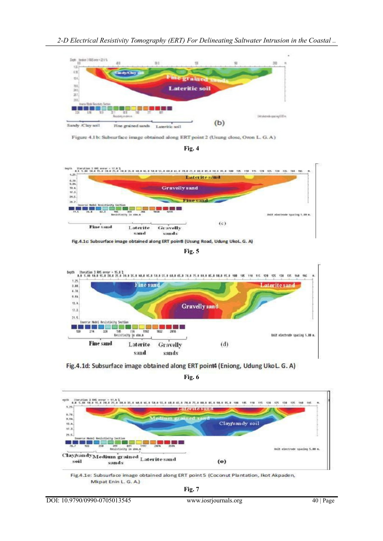

Figure 4.1 b: Subsurface image obtained along ERT point 2 (Usung close, Oron L. G. A)





**Fig. 5**



Fig.4.1d: Subsurface image obtained along ERT point4 (Eniong, Udung UkoL. G. A)

**Fig. 6**



Fig.4.1e: Subsurface image obtained along ERT point 5 (Coconut Plantation, Ikot Akpaden, Mkpat Enin L. G. A.)

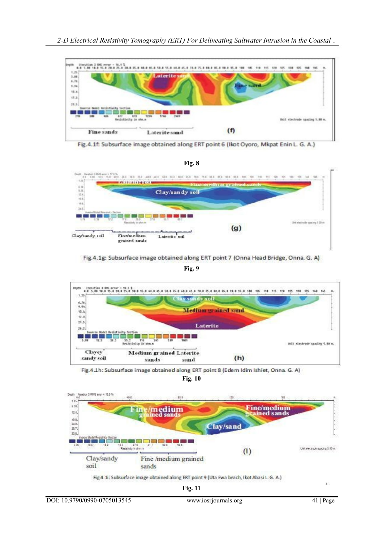





Fig.4.1g: Subsurface image obtained along ERT point 7 (Onna Head Bridge, Onna. G. A)

**Fig. 9**



Fig.4.1h: Subsurface image obtained along ERT point 8 (Edem Idim Ishiet, Onna. G. A)

**Fig. 10**



Fig.4.1i: Subsurface image obtained along ERT point 9 (Uta Ewa beach, Ikot Abasi L.G. A.)

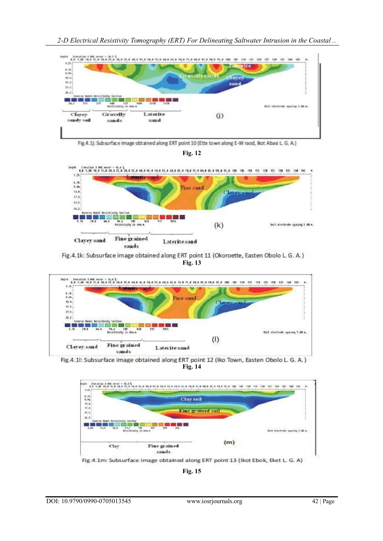*2-D Electrical Resistivity Tomography (ERT) For Delineating Saltwater Intrusion in the Coastal ..*



Fig.4.1j: Subsurface image obtained along ERT point 10 (Ette town along E-W raod, Ikot Abasi L. G. A.)





Fig.4.1k: Subsurface image obtained along ERT point 11 (Okoroette, Easten Obolo L. G. A.) **Fig. 13**



Fig.4.1l: Subsurface image obtained along ERT point 12 (Iko Town, Easten Obolo L. G. A.) **Fig. 14**



**Fig. 15**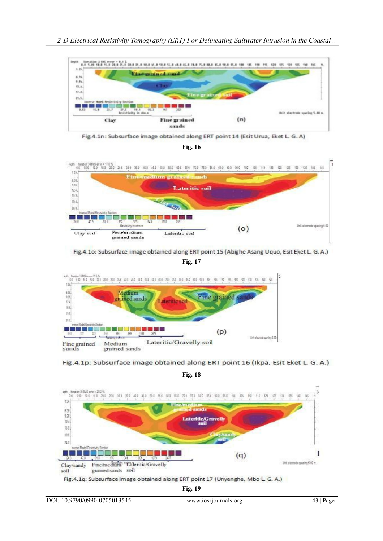



Fig.4.1n: Subsurface image obtained along ERT point 14 (Esit Urua, Eket L. G. A)





Fig.4.1o: Subsurface image obtained along ERT point 15 (Abighe Asang Uquo, Esit Eket L. G. A.)







**Fig. 18**



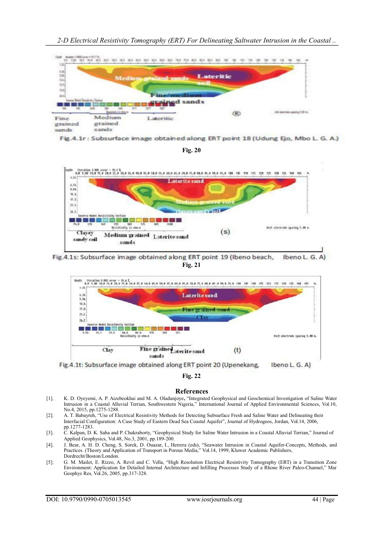*2-D Electrical Resistivity Tomography (ERT) For Delineating Saltwater Intrusion in the Coastal ..*



Fig.4.1r: Subsurface image obtained along ERT point 18 (Udung Ejo, Mbo L. G. A.)

**Fig. 20**



Fig.4.1s: Subsurface image obtained along ERT point 19 (Ibeno beach, Ibeno L. G. **Fig. 21**



Fig.4.1t: Subsurface image obtained along ERT point 20 (Upenekang, Ibeno L. G. A)

## **Fig. 22**

#### **References**

- [1]. K. D. Oyeyemi, A. P. Aizebeokhai and M. A. Oladunjoye**,** "Integrated Geophysical and Geochemical Investigation of Saline Water Intrusion in a Coastal Alluvial Terrian, Southwestern Nigeria," International Journal of Applied Environmental Sciences, Vol.10, No.4, 2015, pp.1275-1288.
- [2]. A. T. Babayreh, "Use of Electrical Resistivity Methods for Detecting Subsurface Fresh and Saline Water and Delineating their Interfacial Configuration: A Case Study of Eastern Dead Sea Coastal Aquifer", Journal of Hydrogeos, Jordan, Vol.14, 2006, pp.1277-1283.
- [3]. C. Kalpan, D. K. Saha and P. Chakraborty, "Geophysical Study for Saline Water Intrusion in a Coastal Alluvial Terrian," Journal of Applied Geophysics, Vol.48, No.3, 2001, pp.189-200.
- [4]. J. Bear, A. H. D. Cheng, S. Sorek, D. Ouazar, I., Herrera (eds), "Seawater Intrusion in Coastal Aquifer-Concepts, Methods, and Practices. (Theory and Application of Transport in Porous Media," Vol.14, 1999, Kluwer Academic Publishers, Dordrecht/Boston/London.
- [5]. G. M. Mailet, E. Rizzo, A. Revil and C. Vella, "High Resolution Electrical Resistivity Tomography (ERT) in a Transition Zone Environment: Application for Detailed Internal Architecture and Infilling Processes Study of a Rhone River Paleo-Channel," Mar Geophys Res, Vol.26, 2005, pp.317-328.